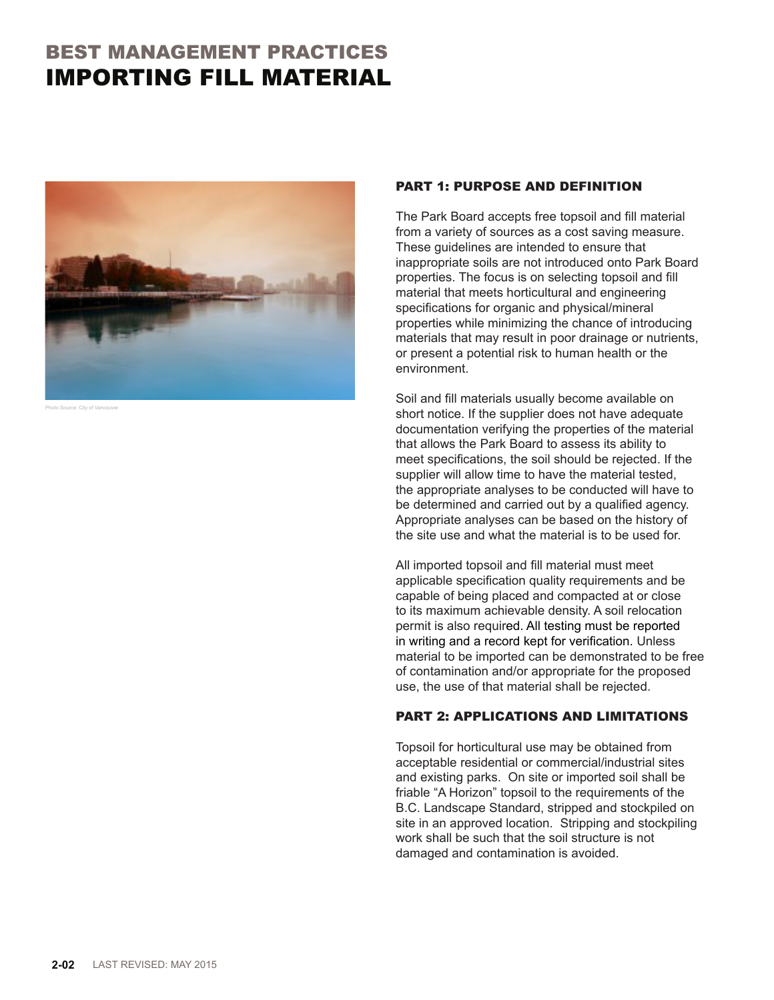# BEST MANAGEMENT PRACTICES IMPORTING FILL MATERIAL



to Source: City of Van

### PART 1: PURPOSE AND DEFINITION

The Park Board accepts free topsoil and fill material from a variety of sources as a cost saving measure. These guidelines are intended to ensure that inappropriate soils are not introduced onto Park Board properties. The focus is on selecting topsoil and fill material that meets horticultural and engineering specifications for organic and physical/mineral properties while minimizing the chance of introducing materials that may result in poor drainage or nutrients, or present a potential risk to human health or the environment.

Soil and fill materials usually become available on short notice. If the supplier does not have adequate documentation verifying the properties of the material that allows the Park Board to assess its ability to meet specifications, the soil should be rejected. If the supplier will allow time to have the material tested, the appropriate analyses to be conducted will have to be determined and carried out by a qualified agency. Appropriate analyses can be based on the history of the site use and what the material is to be used for.

All imported topsoil and fill material must meet applicable specification quality requirements and be capable of being placed and compacted at or close to its maximum achievable density. A soil relocation permit is also required. All testing must be reported in writing and a record kept for verification. Unless material to be imported can be demonstrated to be free of contamination and/or appropriate for the proposed use, the use of that material shall be rejected.

## PART 2: APPLICATIONS AND LIMITATIONS

Topsoil for horticultural use may be obtained from acceptable residential or commercial/industrial sites and existing parks. On site or imported soil shall be friable "A Horizon" topsoil to the requirements of the B.C. Landscape Standard, stripped and stockpiled on site in an approved location. Stripping and stockpiling work shall be such that the soil structure is not damaged and contamination is avoided.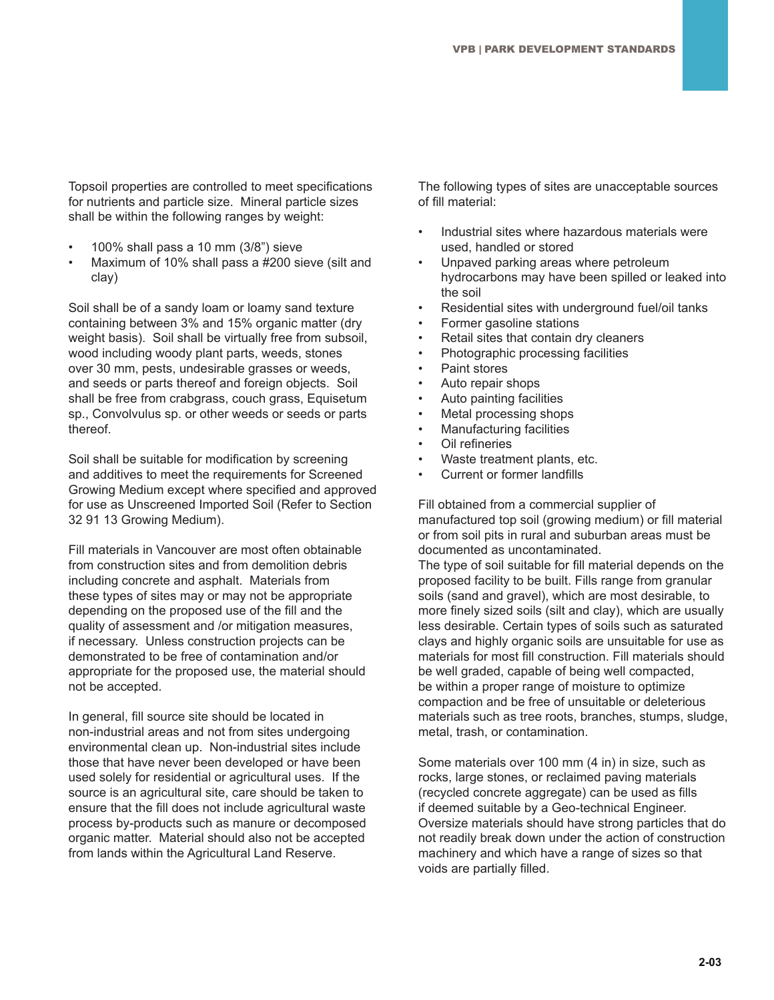Topsoil properties are controlled to meet specifications for nutrients and particle size. Mineral particle sizes shall be within the following ranges by weight:

- 100% shall pass a 10 mm (3/8") sieve
- Maximum of 10% shall pass a #200 sieve (silt and clay)

Soil shall be of a sandy loam or loamy sand texture containing between 3% and 15% organic matter (dry weight basis). Soil shall be virtually free from subsoil, wood including woody plant parts, weeds, stones over 30 mm, pests, undesirable grasses or weeds, and seeds or parts thereof and foreign objects. Soil shall be free from crabgrass, couch grass, Equisetum sp., Convolvulus sp. or other weeds or seeds or parts thereof.

Soil shall be suitable for modification by screening and additives to meet the requirements for Screened Growing Medium except where specified and approved for use as Unscreened Imported Soil (Refer to Section 32 91 13 Growing Medium).

Fill materials in Vancouver are most often obtainable from construction sites and from demolition debris including concrete and asphalt. Materials from these types of sites may or may not be appropriate depending on the proposed use of the fill and the quality of assessment and /or mitigation measures, if necessary. Unless construction projects can be demonstrated to be free of contamination and/or appropriate for the proposed use, the material should not be accepted.

In general, fill source site should be located in non-industrial areas and not from sites undergoing environmental clean up. Non-industrial sites include those that have never been developed or have been used solely for residential or agricultural uses. If the source is an agricultural site, care should be taken to ensure that the fill does not include agricultural waste process by-products such as manure or decomposed organic matter. Material should also not be accepted from lands within the Agricultural Land Reserve.

The following types of sites are unacceptable sources of fill material:

- Industrial sites where hazardous materials were used, handled or stored
- Unpaved parking areas where petroleum hydrocarbons may have been spilled or leaked into the soil
- Residential sites with underground fuel/oil tanks
- Former gasoline stations
- Retail sites that contain dry cleaners
- Photographic processing facilities
- Paint stores
- Auto repair shops
- Auto painting facilities
- Metal processing shops
- Manufacturing facilities
- Oil refineries
- Waste treatment plants, etc.
- Current or former landfills

Fill obtained from a commercial supplier of manufactured top soil (growing medium) or fill material or from soil pits in rural and suburban areas must be documented as uncontaminated.

The type of soil suitable for fill material depends on the proposed facility to be built. Fills range from granular soils (sand and gravel), which are most desirable, to more finely sized soils (silt and clay), which are usually less desirable. Certain types of soils such as saturated clays and highly organic soils are unsuitable for use as materials for most fill construction. Fill materials should be well graded, capable of being well compacted, be within a proper range of moisture to optimize compaction and be free of unsuitable or deleterious materials such as tree roots, branches, stumps, sludge, metal, trash, or contamination.

Some materials over 100 mm (4 in) in size, such as rocks, large stones, or reclaimed paving materials (recycled concrete aggregate) can be used as fills if deemed suitable by a Geo-technical Engineer. Oversize materials should have strong particles that do not readily break down under the action of construction machinery and which have a range of sizes so that voids are partially filled.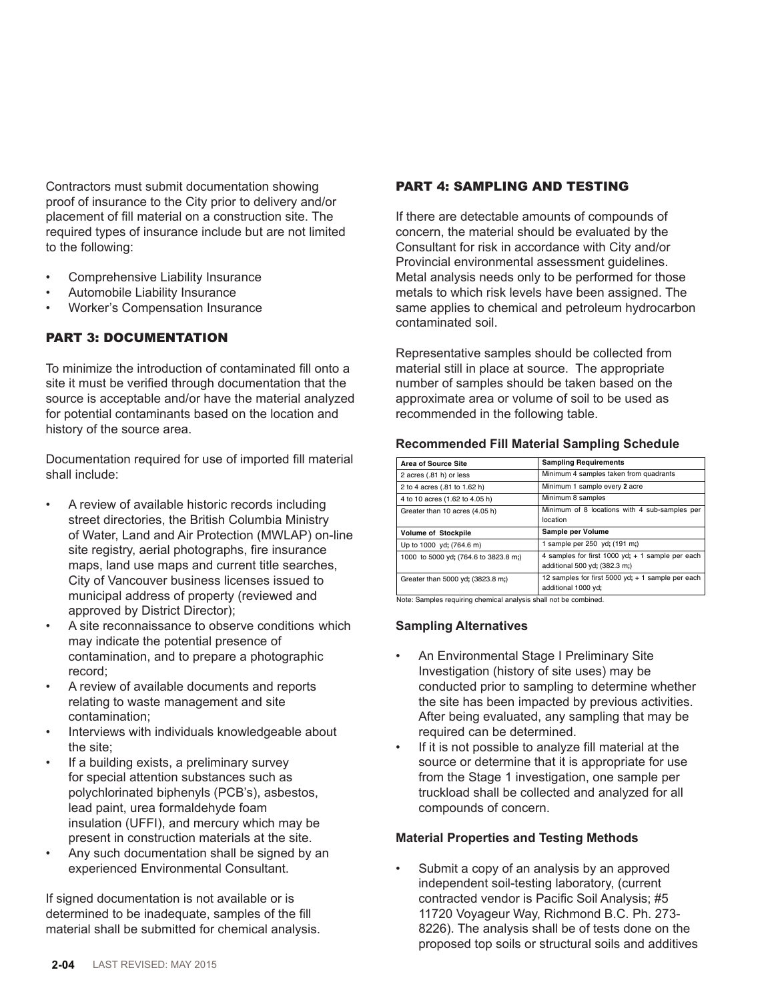Contractors must submit documentation showing proof of insurance to the City prior to delivery and/or placement of fill material on a construction site. The required types of insurance include but are not limited to the following:

- Comprehensive Liability Insurance
- Automobile Liability Insurance
- Worker's Compensation Insurance

## PART 3: DOCUMENTATION

To minimize the introduction of contaminated fill onto a site it must be verified through documentation that the source is acceptable and/or have the material analyzed for potential contaminants based on the location and history of the source area.

Documentation required for use of imported fill material shall include:

- A review of available historic records including street directories, the British Columbia Ministry of Water, Land and Air Protection (MWLAP) on-line site registry, aerial photographs, fire insurance maps, land use maps and current title searches, City of Vancouver business licenses issued to municipal address of property (reviewed and approved by District Director);
- A site reconnaissance to observe conditions which may indicate the potential presence of contamination, and to prepare a photographic record;
- A review of available documents and reports relating to waste management and site contamination;
- Interviews with individuals knowledgeable about the site;
- If a building exists, a preliminary survey for special attention substances such as polychlorinated biphenyls (PCB's), asbestos, lead paint, urea formaldehyde foam insulation (UFFI), and mercury which may be present in construction materials at the site.
- Any such documentation shall be signed by an experienced Environmental Consultant.

If signed documentation is not available or is determined to be inadequate, samples of the fill material shall be submitted for chemical analysis.

## PART 4: SAMPLING AND TESTING

If there are detectable amounts of compounds of concern, the material should be evaluated by the Consultant for risk in accordance with City and/or Provincial environmental assessment guidelines. Metal analysis needs only to be performed for those metals to which risk levels have been assigned. The same applies to chemical and petroleum hydrocarbon contaminated soil.

Representative samples should be collected from material still in place at source. The appropriate number of samples should be taken based on the approximate area or volume of soil to be used as recommended in the following table.

### **Recommended Fill Material Sampling Schedule Recommended Fill Material Sampling Schedule**

| <b>Area of Source Site</b>            | <b>Sampling Requirements</b>                                                        |
|---------------------------------------|-------------------------------------------------------------------------------------|
| 2 acres (.81 h) or less               | Minimum 4 samples taken from quadrants                                              |
| 2 to 4 acres (.81 to 1.62 h)          | Minimum 1 sample every 2 acre                                                       |
| 4 to 10 acres (1.62 to 4.05 h)        | Minimum 8 samples                                                                   |
| Greater than 10 acres (4.05 h)        | Minimum of 8 locations with 4 sub-samples per<br>location                           |
| <b>Volume of Stockpile</b>            | Sample per Volume                                                                   |
| Up to 1000 yd; (764.6 m)              | 1 sample per 250 yd; (191 m;)                                                       |
| 1000 to 5000 yd; (764.6 to 3823.8 m;) | 4 samples for first 1000 yd; $+$ 1 sample per each<br>additional 500 yd; (382.3 m;) |
| Greater than 5000 yd; (3823.8 m;)     | 12 samples for first 5000 yd; + 1 sample per each<br>additional 1000 yd;            |

Note: Samples requiring chemical analysis shall not be combined.

## **Sampling Alternatives Sampling Alternatives**

- An Environmental Stage I Preliminary Site Investigation (history of site uses) may be conducted prior to sampling to determine whether the site has been impacted by previous activities. After being evaluated, any sampling that may be required can be determined.
- If it is not possible to analyze fill material at the source or determine that it is appropriate for use from the Stage 1 investigation, one sample per truckload shall be collected and analyzed for all compounds of concern.

### **Material Properties and Testing Methods**

Submit a copy of an analysis by an approved independent soil-testing laboratory, (current contracted vendor is Pacific Soil Analysis; #5 11720 Voyageur Way, Richmond B.C. Ph. 273- 8226). The analysis shall be of tests done on the proposed top soils or structural soils and additives